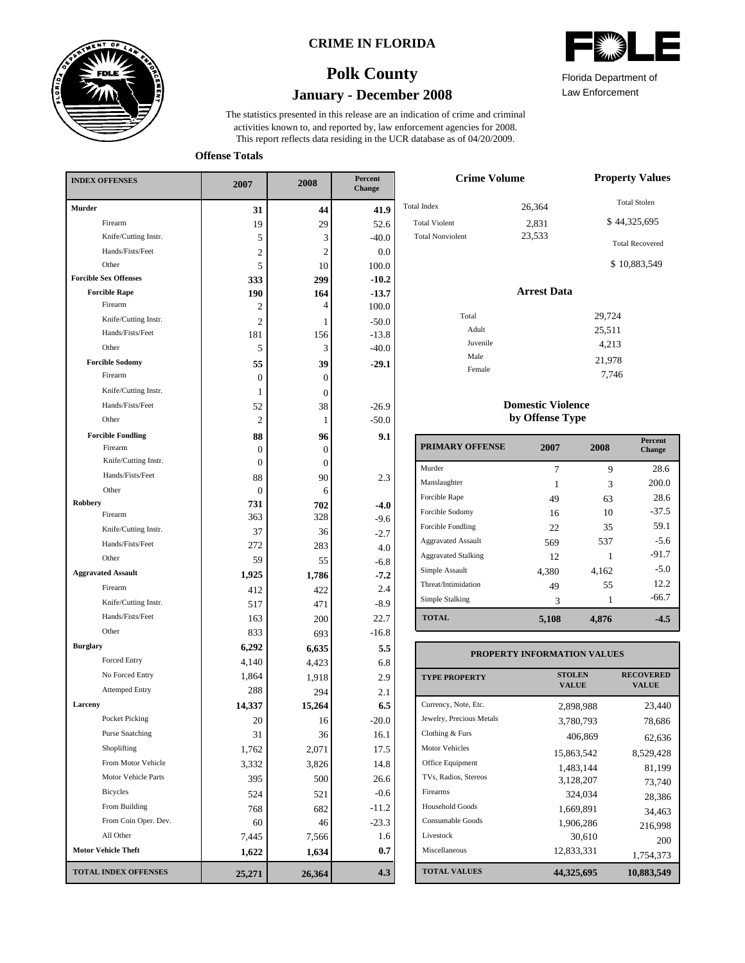

### **CRIME IN FLORIDA**



Law Enforcement

21,978 7,746

# **January - December 2008 Polk County**

This report reflects data residing in the UCR database as of 04/20/2009. activities known to, and reported by, law enforcement agencies for 2008. The statistics presented in this release are an indication of crime and criminal

**Offense Totals**

| <b>INDEX OFFENSES</b>                    | 2007           | 2008         | Percent<br>Change |  |
|------------------------------------------|----------------|--------------|-------------------|--|
| Murder                                   | 31             | 44           | 41.9              |  |
| Firearm                                  | 19             | 29           | 52.6              |  |
| Knife/Cutting Instr.                     | 5              | 3            | $-40.0$           |  |
| Hands/Fists/Feet                         | $\overline{c}$ | 2            | 0.0               |  |
| Other                                    | 5              | 10           | 100.0             |  |
| <b>Forcible Sex Offenses</b>             | 333            | 299          | $-10.2$           |  |
| <b>Forcible Rape</b>                     | 190            | 164          | $-13.7$           |  |
| Firearm                                  | 2              | 4            | 100.0             |  |
| Knife/Cutting Instr.                     | $\overline{c}$ | 1            | $-50.0$           |  |
| Hands/Fists/Feet                         | 181            | 156          | $-13.8$           |  |
| Other                                    | 5              | 3            | $-40.0$           |  |
| <b>Forcible Sodomy</b><br>Firearm        | 55             | 39           | $-29.1$           |  |
|                                          | 0              | $\mathbf{0}$ |                   |  |
| Knife/Cutting Instr.                     | 1              | $\mathbf{0}$ |                   |  |
| Hands/Fists/Feet                         | 52             | 38           | $-26.9$           |  |
| Other                                    | $\overline{c}$ | 1            | $-50.0$           |  |
| <b>Forcible Fondling</b>                 | 88             | 96           | 9.1               |  |
| Firearm                                  | 0              | 0            |                   |  |
| Knife/Cutting Instr.<br>Hands/Fists/Feet | $\Omega$       | $\mathbf{0}$ |                   |  |
| Other                                    | 88             | 90           | 2.3               |  |
| Robbery                                  | 0              | 6            |                   |  |
| Firearm                                  | 731<br>363     | 702<br>328   | $-4.0$            |  |
| Knife/Cutting Instr.                     | 37             | 36           | $-9.6$            |  |
| Hands/Fists/Feet                         | 272            | 283          | $-2.7$            |  |
| Other                                    | 59             | 55           | 4.0               |  |
| <b>Aggravated Assault</b>                | 1,925          |              | $-6.8$<br>$-7.2$  |  |
| Firearm                                  | 412            | 1,786<br>422 | 2.4               |  |
| Knife/Cutting Instr.                     | 517            | 471          | $-8.9$            |  |
| Hands/Fists/Feet                         | 163            | 200          | 22.7              |  |
| Other                                    | 833            |              | $-16.8$           |  |
| <b>Burglary</b>                          |                | 693          |                   |  |
| Forced Entry                             | 6,292<br>4,140 | 6,635        | 5.5<br>6.8        |  |
| No Forced Entry                          | 1,864          | 4,423        |                   |  |
| <b>Attemped Entry</b>                    | 288            | 1,918        | 2.9<br>2.1        |  |
| Larceny                                  |                | 294          | 6.5               |  |
| Pocket Picking                           | 14,337         | 15,264       |                   |  |
| <b>Purse Snatching</b>                   | 20             | 16           | $-20.0$           |  |
| Shoplifting                              | 31             | 36           | 16.1              |  |
| From Motor Vehicle                       | 1,762          | 2,071        | 17.5              |  |
| Motor Vehicle Parts                      | 3,332<br>395   | 3,826        | 14.8<br>26.6      |  |
| Bicycles                                 |                | 500          |                   |  |
| From Building                            | 524            | 521          | $-0.6$            |  |
| From Coin Oper. Dev.                     | 768            | 682          | $-11.2$           |  |
| All Other                                | 60             | 46           | $-23.3$           |  |
| <b>Motor Vehicle Theft</b>               | 7,445          | 7,566        | 1.6               |  |
|                                          | 1,622          | 1,634        | 0.7               |  |
| <b>TOTAL INDEX OFFENSES</b>              | 25,271         | 26,364       | 4.3               |  |

| <b>Crime Volume</b>     | <b>Property Values</b> |                        |  |  |  |
|-------------------------|------------------------|------------------------|--|--|--|
| <b>Total Index</b>      | 26,364                 | <b>Total Stolen</b>    |  |  |  |
| <b>Total Violent</b>    | 2,831                  | \$44,325,695           |  |  |  |
| <b>Total Nonviolent</b> | 23,533                 | <b>Total Recovered</b> |  |  |  |
|                         |                        | \$10,883,549           |  |  |  |
|                         | <b>Arrest Data</b>     |                        |  |  |  |
| Total                   |                        | 29,724                 |  |  |  |
| Adult                   |                        | 25,511                 |  |  |  |
| Juvenile                |                        | 4,213                  |  |  |  |
| Male                    |                        | 21.078                 |  |  |  |

### **Domestic Violence by Offense Type**

Female

| <b>PRIMARY OFFENSE</b>     | 2007  | 2008  | <b>Percent</b><br>Change |
|----------------------------|-------|-------|--------------------------|
| Murder                     | 7     | 9     | 28.6                     |
| Manslaughter               |       | 3     | 200.0                    |
| Forcible Rape              | 49    | 63    | 28.6                     |
| Forcible Sodomy            | 16    | 10    | $-37.5$                  |
| Forcible Fondling          | 22.   | 35    | 59.1                     |
| <b>Aggravated Assault</b>  | 569   | 537   | $-5.6$                   |
| <b>Aggravated Stalking</b> | 12.   |       | $-91.7$                  |
| Simple Assault             | 4,380 | 4,162 | $-5.0$                   |
| Threat/Intimidation        | 49    | 55    | 12.2                     |
| Simple Stalking            | 3     | 1     | $-66.7$                  |
| <b>TOTAL</b>               | 5,108 | 4,876 | -4.5                     |

#### **TOTAL VALUES VALUE PROPERTY STOLEN RECOVERED PROPERTY INFORMATION VALUES** Currency, Note, Etc. Jewelry, Precious Metals Clothing & Furs Motor Vehicles Office Equipment TVs, Radios, Stereos Firearms Household Goods Consumable Goods Livestock Miscellaneous 2,898,988 23,440 3,780,793 78,686 406,869 62,636 15,863,542 8,529,428 1,483,144 81,199 3,128,207 73,740 324,034 28,386 1,669,891 34,463 1,906,286 216,998  $30,610$  200<br>12,833,331 1754.373 1,754,373 **44,325,695 10,883,549**